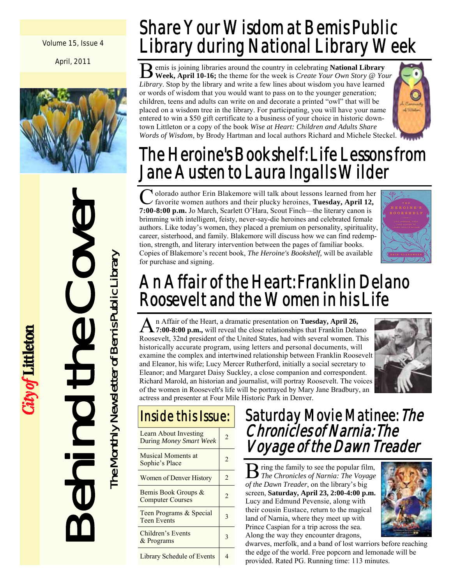Volume 15, Issue 4

April, 2011



# Behind the Cover ievo. ED.

City of Littleton

The Monthly Newsletter of Bemis Public Library

The Monthly Newsletter of Bemis Public Library

# Share Your Wisdom at Bemis Public Library during National Library Week

B emis is joining libraries around the country in celebrating **National Library Week, April 10-16;** the theme for the week is *Create Your Own Story @ Your Library*. Stop by the library and write a few lines about wisdom you have learned or words of wisdom that you would want to pass on to the younger generation; children, teens and adults can write on and decorate a printed "owl" that will be placed on a wisdom tree in the library. For participating, you will have your name entered to win a \$50 gift certificate to a business of your choice in historic downtown Littleton or a copy of the book *Wise at Heart: Children and Adults Share Words of Wisdom,* by Brody Hartman and local authors Richard and Michele Steckel.



# The Heroine's Bookshelf: Life Lessons from Jane Austen to Laura Ingalls Wilder

<sup>1</sup> olorado author Erin Blakemore will talk about lessons learned from her favorite women authors and their plucky heroines, **Tuesday, April 12, 7:00-8:00 p.m.** Jo March, Scarlett O'Hara, Scout Finch—the literary canon is brimming with intelligent, feisty, never-say-die heroines and celebrated female authors. Like today's women, they placed a premium on personality, spirituality, career, sisterhood, and family. Blakemore will discuss how we can find redemption, strength, and literary intervention between the pages of familiar books. Copies of Blakemore's recent book, *The Heroine's Bookshelf,* will be available for purchase and signing.



# An Affair of the Heart: Franklin Delano Roosevelt and the Women in his Life

A n Affair of the Heart, a dramatic presentation on **Tuesday, April 26, 7:00-8:00 p.m.**, will reveal the close relationships that Franklin Delano Roosevelt, 32nd president of the United States, had with several women. This historically accurate program, using letters and personal documents, will examine the complex and intertwined relationship between Franklin Roosevelt and Eleanor, his wife; Lucy Mercer Rutherford, initially a social secretary to Eleanor; and Margaret Daisy Suckley, a close companion and correspondent. Richard Marold, an historian and journalist, will portray Roosevelt. The voices of the women in Roosevelt's life will be portrayed by Mary Jane Bradbury, an actress and presenter at Four Mile Historic Park in Denver.



# Inside this Issue:

| Learn About Investing<br><b>During Money Smart Week</b> | $\mathfrak{D}$ |
|---------------------------------------------------------|----------------|
| Musical Moments at<br>Sophie's Place                    | 2              |
| Women of Denver History                                 | $\mathfrak{D}$ |
| Bemis Book Groups &<br><b>Computer Courses</b>          | 2              |
| Teen Programs & Special<br><b>Teen Events</b>           |                |
| Children's Events<br>& Programs                         |                |
| Library Schedule of Events                              |                |

# Saturday Movie Matinee: The Chronicles of Narnia: The Voyage of the Dawn Treader

B ring the family to see the popular film, *The Chronicles of Narnia: The Voyage of the Dawn Treader*, on the library's big screen, **Saturday, April 23, 2:00-4:00 p.m.**  Lucy and Edmund Pevensie, along with their cousin Eustace, return to the magical land of Narnia, where they meet up with Prince Caspian for a trip across the sea. Along the way they encounter dragons,



dwarves, merfolk, and a band of lost warriors before reaching the edge of the world. Free popcorn and lemonade will be provided. Rated PG. Running time: 113 minutes.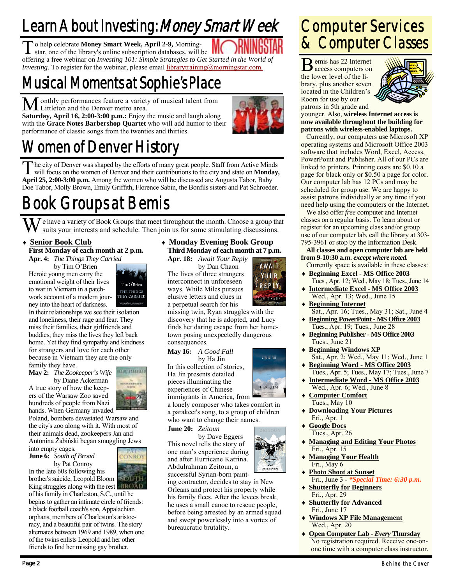# Learn About Investing: Money Smart Week

To help celebrate **Money Smart Week, April 2-9,** Morning-<br>star, one of the library's online subscription databases, will be offering a free webinar on *Investing 101: Simple Strategies to Get Started in the World of Investing.* To register for the webinar, please email *librarytraining@morningstar.com.* 

# Musical Moments at Sophie's Place

M onthly performances feature a variety of musical talent from<br>Littleton and the Denver metro area.

**Saturday, April 16, 2:00-3:00 p.m.:** Enjoy the music and laugh along with the **Grace Notes Barbershop Quartet** who will add humor to their performance of classic songs from the twenties and thirties.



# Women of Denver History

T he city of Denver was shaped by the efforts of many great people. Staff from Active Minds will focus on the women of Denver and their contributions to the city and state on **Monday, April 25, 2:00-3:00 p.m.** Among the women who will be discussed are Augusta Tabor, Baby Doe Tabor, Molly Brown, Emily Griffith, Florence Sabin, the Bonfils sisters and Pat Schroeder.

# Book Groups at Bemis

W e have a variety of Book Groups that meet throughout the month. Choose a group that suits your interests and schedule. Then join us for some stimulating discussions.

## **Senior Book Club**

**First Monday of each month at 2 p.m. Apr. 4:** *The Things They Carried* 

by Tim O'Brien Heroic young men carry the emotional weight of their lives to war in Vietnam in a patchwork account of a modern journey into the heart of darkness.



In their relationships we see their isolation and loneliness, their rage and fear. They miss their families, their girlfriends and buddies; they miss the lives they left back home. Yet they find sympathy and kindness for strangers and love for each other because in Vietnam they are the only family they have.

**May 2:** *The Zookeeper's Wife* 

 by Diane Ackerman A true story of how the keepers of the Warsaw Zoo saved hundreds of people from Nazi hands. When Germany invaded



CONROY

Poland, bombers devastated Warsaw and the city's zoo along with it. With most of their animals dead, zookeepers Jan and Antonina Żabiński began smuggling Jews

into empty cages. **June 6:** *South of Broad* 

by Pat Conroy

In the late 60s following his brother's suicide, Leopold Bloom King struggles along with the rest **BROAD** 

of his family in Charleston, S.C., until he begins to gather an intimate circle of friends: a black football coach's son, Appalachian orphans, members of Charleston's aristocracy, and a beautiful pair of twins. The story alternates between 1969 and 1989, when one of the twins enlists Leopold and her other friends to find her missing gay brother.

## **Monday Evening Book Group Third Monday of each month at 7 p.m.**

**Apr. 18:** *Await Your Reply* 

by Dan Chaon The lives of three strangers interconnect in unforeseen ways. While Miles pursues elusive letters and clues in a perpetual search for his



a good fall

HA JIN

missing twin, Ryan struggles with the discovery that he is adopted, and Lucy finds her daring escape from her hometown posing unexpectedly dangerous consequences.

## **May 16:** *A Good Fall*

by Ha Jin In this collection of stories, Ha Jin presents detailed pieces illuminating the experiences of Chinese

immigrants in America, from a lonely composer who takes comfort in a parakeet's song, to a group of children who want to change their names.

**June 20:** *Zeitoun* 

by Dave Eggers This novel tells the story of one man's experience during and after Hurricane Katrina. Abdulrahman Zeitoun, a

successful Syrian-born painting contractor, decides to stay in New Orleans and protect his property while his family flees. After the levees break, he uses a small canoe to rescue people, before being arrested by an armed squad and swept powerlessly into a vortex of bureaucratic brutality.

# Computer Services & Computer Classes

B emis has 22 Internet access computers on the lower level of the library, plus another seven located in the Children's Room for use by our patrons in 5th grade and



younger. Also, **wireless Internet access is now available throughout the building for patrons with wireless-enabled laptops.**

 Currently, our computers use Microsoft XP operating systems and Microsoft Office 2003 software that includes Word, Excel, Access, PowerPoint and Publisher. All of our PCs are linked to printers. Printing costs are \$0.10 a page for black only or \$0.50 a page for color. Our computer lab has 12 PCs and may be scheduled for group use. We are happy to assist patrons individually at any time if you need help using the computers or the Internet.

 We also offer *free* computer and Internet classes on a regular basis. To learn about or register for an upcoming class and/or group use of our computer lab, call the library at 303- 795-3961 or stop by the Information Desk.

## **All classes and open computer lab are held from 9-10:30 a.m.** *except where noted.*

- Currently space is available in these classes: **Beginning Excel - MS Office 2003**
- Tues., Apr. 12; Wed., May 18; Tues., June 14 **Intermediate Excel - MS Office 2003**
- Wed., Apr. 13; Wed., June 15 **Beginning Internet**
- Sat., Apr. 16; Tues., May 31; Sat., June 4 **Beginning PowerPoint - MS Office 2003**
- Tues., Apr. 19; Tues., June 28
- **Beginning Publisher MS Office 2003** Tues., June 21
- **Beginning Windows XP** Sat., Apr. 2; Wed., May 11; Wed., June 1
- **Beginning Word MS Office 2003** Tues., Apr. 5; Tues., May 17; Tues., June 7
- **Intermediate Word MS Office 2003** Wed., Apr. 6; Wed., June 8
- **Computer Comfort** Tues., May 10
- **Downloading Your Pictures** Fri., Apr. 1
- **Google Docs** Tues., Apr. 26
- **Managing and Editing Your Photos** Fri., Apr. 15
- **Managing Your Health** Fri., May 6
- **Photo Shoot at Sunset** Fri., June 3 - *\*Special Time: 6:30 p.m.*
- **Shutterfly for Beginners** Fri., Apr. 29
- **Shutterfly for Advanced** Fri., June 17
- **Windows XP File Management** Wed., Apr. 20
- **Open Computer Lab** *Every* **Thursday** No registration required. Receive one-onone time with a computer class instructor.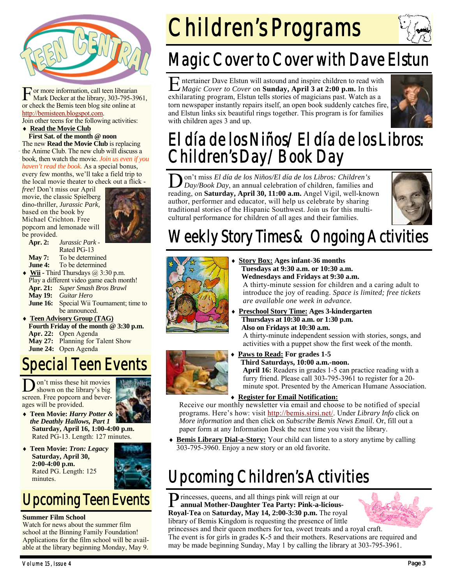

F or more information, call teen librarian Mark Decker at the library, 303-795-3961, or check the Bemis teen blog site online at http://bemisteen.blogspot.com.

Join other teens for the following activities:

### **Read the Movie Club First Sat. of the month @ noon**

The new **Read the Movie Club** is replacing the Anime Club. The new club will discuss a book, then watch the movie. *Join us even if you haven't read the book.* As a special bonus,

every few months, we'll take a field trip to the local movie theater to check out a flick -

*free!* Don't miss our April movie, the classic Spielberg dino-thriller, *Jurassic Park,*  based on the book by Michael Crichton. Free popcorn and lemonade will be provided.



- **Apr. 2:** *Jurassic Park*  Rated PG-13
- May 7: To be determined
- **June 4:** To be determined
- Wii Third Thursdays @ 3:30 p.m. Play a different video game each month!
- **Apr. 21:** *Super Smash Bros Brawl*
- **May 19:** *Guitar Hero*
- **June 16:** Special Wii Tournament; time to be announced.
- **Teen Advisory Group (TAG)**
- **Fourth Friday of the month @ 3:30 p.m.**
- **Apr. 22:** Open Agenda
- **May 27:** Planning for Talent Show
- **June 24:** Open Agenda

# Special Teen Events

D on't miss these hit movies<br>shown on the library's big screen. Free popcorn and beverages will be provided.



- **Teen Movie:** *Harry Potter & the Deathly Hallows, Part 1* **Saturday, April 16, 1:00-4:00 p.m.**  Rated PG-13. Length: 127 minutes.
- **Teen Movie:** *Tron: Legacy* **Saturday, April 30, 2:00-4:00 p.m.** Rated PG. Length: 125 minutes.

# Upcoming Teen Events

## **Summer Film School**

Watch for news about the summer film school at the Binning Family Foundation! Applications for the film school will be available at the library beginning Monday, May 9.

# Children's Programs

# Magic Cover to Cover with Dave Elstun

E ntertainer Dave Elstun will astound and inspire children to read with *Magic Cover to Cover* on **Sunday, April 3 at 2:00 p.m.** In this exhilarating program, Elstun tells stories of magicians past. Watch as a torn newspaper instantly repairs itself, an open book suddenly catches fire, and Elstun links six beautiful rings together. This program is for families with children ages 3 and up.



# El día de los Niños/El día de los Libros: Children's Day/Book Day

D on't miss *El día de los Niños/El día de los Libros: Children's Day/Book Day*, an annual celebration of children, families and reading, on **Saturday, April 30, 11:00 a.m.** Angel Vigil, well-known author, performer and educator, will help us celebrate by sharing traditional stories of the Hispanic Southwest. Join us for this multicultural performance for children of all ages and their families.



# Weekly Story Times & Ongoing Activities



- **Story Box: Ages infant-36 months Tuesdays at 9:30 a.m. or 10:30 a.m. Wednesdays and Fridays at 9:30 a.m.**  A thirty-minute session for children and a caring adult to introduce the joy of reading. *Space is limited; free tickets are available one week in advance.*
- **Preschool Story Time: Ages 3-kindergarten Thursdays at 10:30 a.m. or 1:30 p.m. Also on Fridays at 10:30 a.m.**  A thirty-minute independent session with stories, songs, and

activities with a puppet show the first week of the month.



 **Paws to Read: For grades 1-5 Third Saturdays, 10:00 a.m.-noon.** 

**April 16:** Readers in grades 1-5 can practice reading with a furry friend. Please call 303-795-3961 to register for a 20 minute spot. Presented by the American Humane Association.

## **Register for Email Notification:**

Receive our monthly newsletter via email and choose to be notified of special programs. Here's how: visit http://bemis.sirsi.net/. Under *Library Info* click on *More information* and then click on *Subscribe Bemis News Email*. Or, fill out a paper form at any Information Desk the next time you visit the library.

 **Bemis Library Dial-a-Story:** Your child can listen to a story anytime by calling 303-795-3960. Enjoy a new story or an old favorite.

# Upcoming Children's Activities

**P** rincesses, queens, and all things pink will reign at our annual Mother Development Pro Bestine Pink Links **annual Mother-Daughter Tea Party: Pink-a-licious-Royal-Tea** on **Saturday, May 14, 2:00-3:30 p.m.** The royal library of Bemis Kingdom is requesting the presence of little



princesses and their queen mothers for tea, sweet treats and a royal craft. The event is for girls in grades K-5 and their mothers. Reservations are required and may be made beginning Sunday, May 1 by calling the library at 303-795-3961.